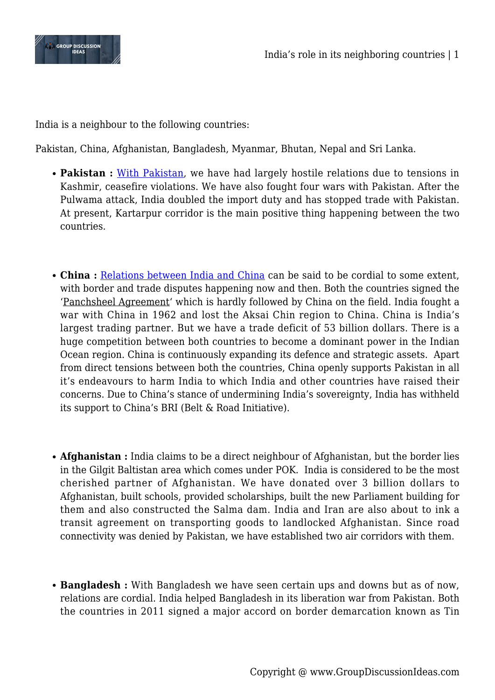

India is a neighbour to the following countries:

Pakistan, China, Afghanistan, Bangladesh, Myanmar, Bhutan, Nepal and Sri Lanka.

- **Pakistan :** [With Pakistan,](https://www.groupdiscussionideas.com/india-pakistan-relations/) we have had largely hostile relations due to tensions in Kashmir, ceasefire violations. We have also fought four wars with Pakistan. After the Pulwama attack, India doubled the import duty and has stopped trade with Pakistan. At present, Kartarpur corridor is the main positive thing happening between the two countries.
- **China :** [Relations between India and China](https://www.groupdiscussionideas.com/india-china-relations/) can be said to be cordial to some extent, with border and trade disputes happening now and then. Both the countries signed the 'Panchsheel Agreement' which is hardly followed by China on the field. India fought a war with China in 1962 and lost the Aksai Chin region to China. China is India's largest trading partner. But we have a trade deficit of 53 billion dollars. There is a huge competition between both countries to become a dominant power in the Indian Ocean region. China is continuously expanding its defence and strategic assets. Apart from direct tensions between both the countries, China openly supports Pakistan in all it's endeavours to harm India to which India and other countries have raised their concerns. Due to China's stance of undermining India's sovereignty, India has withheld its support to China's BRI (Belt & Road Initiative).
- **Afghanistan :** India claims to be a direct neighbour of Afghanistan, but the border lies in the Gilgit Baltistan area which comes under POK. India is considered to be the most cherished partner of Afghanistan. We have donated over 3 billion dollars to Afghanistan, built schools, provided scholarships, built the new Parliament building for them and also constructed the Salma dam. India and Iran are also about to ink a transit agreement on transporting goods to landlocked Afghanistan. Since road connectivity was denied by Pakistan, we have established two air corridors with them.
- **Bangladesh :** With Bangladesh we have seen certain ups and downs but as of now, relations are cordial. India helped Bangladesh in its liberation war from Pakistan. Both the countries in 2011 signed a major accord on border demarcation known as Tin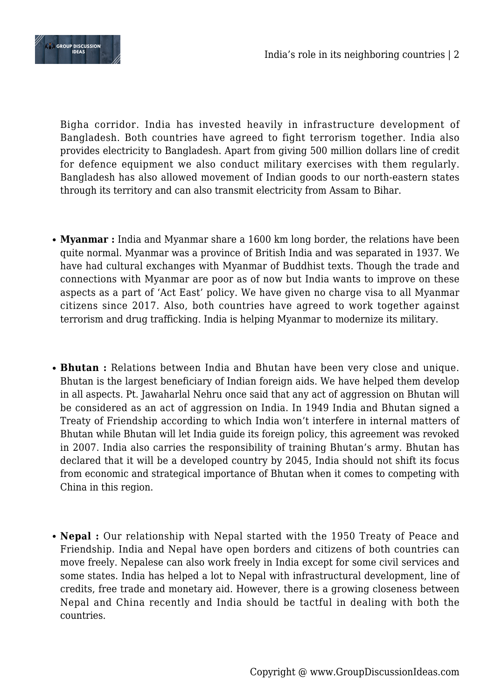



Bigha corridor. India has invested heavily in infrastructure development of Bangladesh. Both countries have agreed to fight terrorism together. India also provides electricity to Bangladesh. Apart from giving 500 million dollars line of credit for defence equipment we also conduct military exercises with them regularly. Bangladesh has also allowed movement of Indian goods to our north-eastern states through its territory and can also transmit electricity from Assam to Bihar.

- **Myanmar :** India and Myanmar share a 1600 km long border, the relations have been quite normal. Myanmar was a province of British India and was separated in 1937. We have had cultural exchanges with Myanmar of Buddhist texts. Though the trade and connections with Myanmar are poor as of now but India wants to improve on these aspects as a part of 'Act East' policy. We have given no charge visa to all Myanmar citizens since 2017. Also, both countries have agreed to work together against terrorism and drug trafficking. India is helping Myanmar to modernize its military.
- **Bhutan :** Relations between India and Bhutan have been very close and unique. Bhutan is the largest beneficiary of Indian foreign aids. We have helped them develop in all aspects. Pt. Jawaharlal Nehru once said that any act of aggression on Bhutan will be considered as an act of aggression on India. In 1949 India and Bhutan signed a Treaty of Friendship according to which India won't interfere in internal matters of Bhutan while Bhutan will let India guide its foreign policy, this agreement was revoked in 2007. India also carries the responsibility of training Bhutan's army. Bhutan has declared that it will be a developed country by 2045, India should not shift its focus from economic and strategical importance of Bhutan when it comes to competing with China in this region.
- **Nepal :** Our relationship with Nepal started with the 1950 Treaty of Peace and Friendship. India and Nepal have open borders and citizens of both countries can move freely. Nepalese can also work freely in India except for some civil services and some states. India has helped a lot to Nepal with infrastructural development, line of credits, free trade and monetary aid. However, there is a growing closeness between Nepal and China recently and India should be tactful in dealing with both the countries.